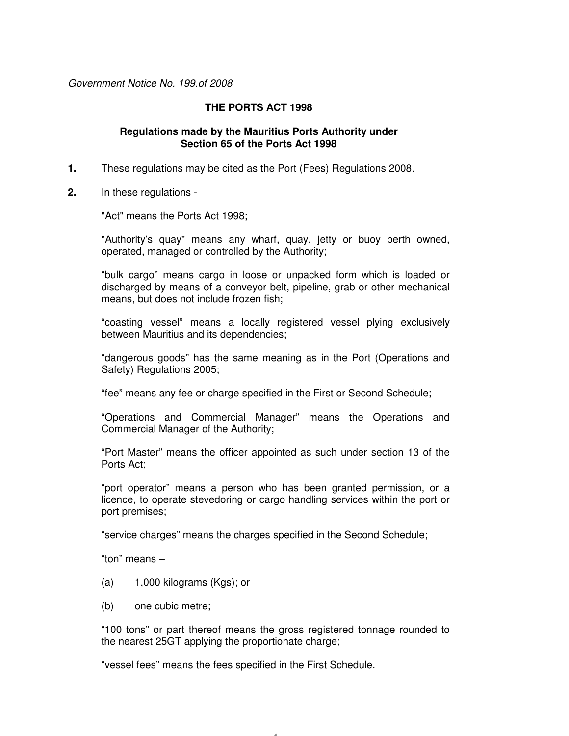Government Notice No. 199.of 2008

# **THE PORTS ACT 1998**

# **Regulations made by the Mauritius Ports Authority under Section 65 of the Ports Act 1998**

- **1.** These regulations may be cited as the Port (Fees) Regulations 2008.
- **2.** In these regulations -

"Act" means the Ports Act 1998;

"Authority's quay" means any wharf, quay, jetty or buoy berth owned, operated, managed or controlled by the Authority;

"bulk cargo" means cargo in loose or unpacked form which is loaded or discharged by means of a conveyor belt, pipeline, grab or other mechanical means, but does not include frozen fish;

"coasting vessel" means a locally registered vessel plying exclusively between Mauritius and its dependencies;

"dangerous goods" has the same meaning as in the Port (Operations and Safety) Regulations 2005;

"fee" means any fee or charge specified in the First or Second Schedule;

"Operations and Commercial Manager" means the Operations and Commercial Manager of the Authority;

"Port Master" means the officer appointed as such under section 13 of the Ports Act;

"port operator" means a person who has been granted permission, or a licence, to operate stevedoring or cargo handling services within the port or port premises;

"service charges" means the charges specified in the Second Schedule;

"ton" means –

- (a) 1,000 kilograms (Kgs); or
- (b) one cubic metre;

"100 tons" or part thereof means the gross registered tonnage rounded to the nearest 25GT applying the proportionate charge;

- 1 -

"vessel fees" means the fees specified in the First Schedule.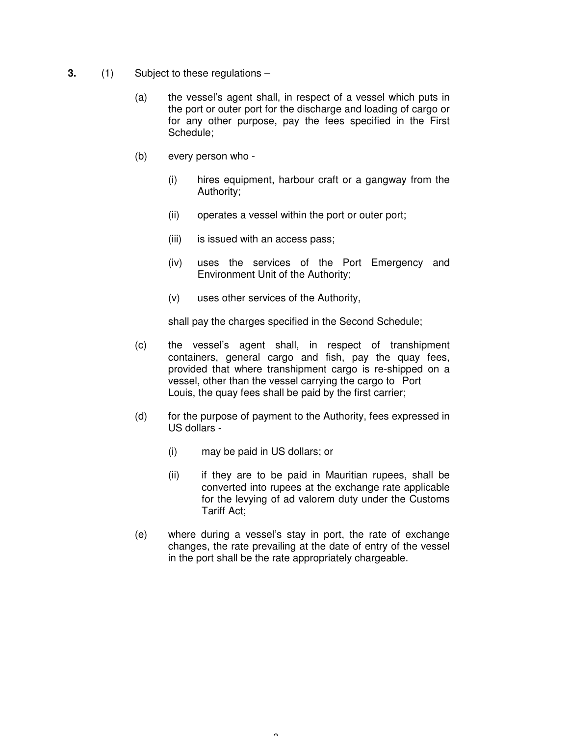- **3.** (1) Subject to these regulations
	- (a) the vessel's agent shall, in respect of a vessel which puts in the port or outer port for the discharge and loading of cargo or for any other purpose, pay the fees specified in the First Schedule;
	- (b) every person who
		- (i) hires equipment, harbour craft or a gangway from the Authority;
		- (ii) operates a vessel within the port or outer port;
		- (iii) is issued with an access pass;
		- (iv) uses the services of the Port Emergency and Environment Unit of the Authority;
		- (v) uses other services of the Authority,

shall pay the charges specified in the Second Schedule;

- (c) the vessel's agent shall, in respect of transhipment containers, general cargo and fish, pay the quay fees, provided that where transhipment cargo is re-shipped on a vessel, other than the vessel carrying the cargo to Port Louis, the quay fees shall be paid by the first carrier;
- (d) for the purpose of payment to the Authority, fees expressed in US dollars -
	- (i) may be paid in US dollars; or
	- (ii) if they are to be paid in Mauritian rupees, shall be converted into rupees at the exchange rate applicable for the levying of ad valorem duty under the Customs Tariff Act;
- (e) where during a vessel's stay in port, the rate of exchange changes, the rate prevailing at the date of entry of the vessel in the port shall be the rate appropriately chargeable.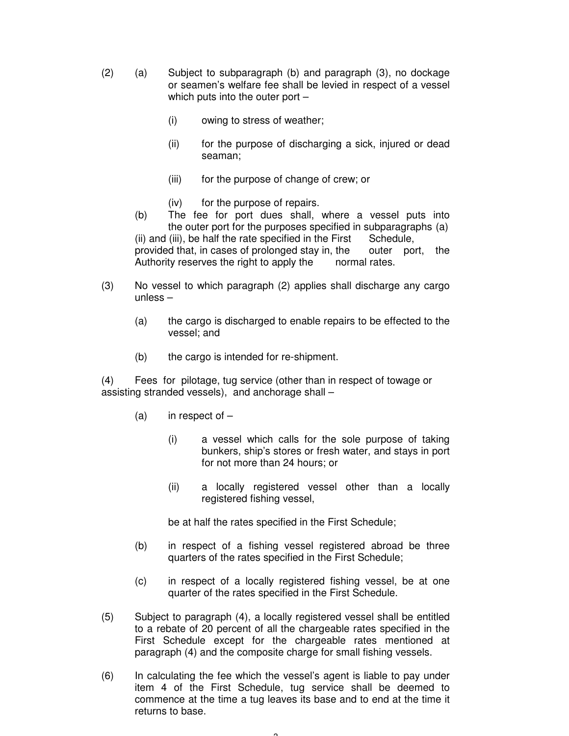- (2) (a) Subject to subparagraph (b) and paragraph (3), no dockage or seamen's welfare fee shall be levied in respect of a vessel which puts into the outer port –
	- (i) owing to stress of weather;
	- (ii) for the purpose of discharging a sick, injured or dead seaman;
	- (iii) for the purpose of change of crew; or
	- (iv) for the purpose of repairs.
	- (b) The fee for port dues shall, where a vessel puts into the outer port for the purposes specified in subparagraphs (a)  $(iii)$  and  $(iii)$ , be half the rate specified in the First Schedule, provided that, in cases of prolonged stay in, the outer port, the Authority reserves the right to apply the normal rates.
- (3) No vessel to which paragraph (2) applies shall discharge any cargo unless –
	- (a) the cargo is discharged to enable repairs to be effected to the vessel; and
	- (b) the cargo is intended for re-shipment.

(4) Fees for pilotage, tug service (other than in respect of towage or assisting stranded vessels), and anchorage shall –

- (a) in respect of  $-$ 
	- (i) a vessel which calls for the sole purpose of taking bunkers, ship's stores or fresh water, and stays in port for not more than 24 hours; or
	- (ii) a locally registered vessel other than a locally registered fishing vessel,

be at half the rates specified in the First Schedule;

- (b) in respect of a fishing vessel registered abroad be three quarters of the rates specified in the First Schedule;
- (c) in respect of a locally registered fishing vessel, be at one quarter of the rates specified in the First Schedule.
- (5) Subject to paragraph (4), a locally registered vessel shall be entitled to a rebate of 20 percent of all the chargeable rates specified in the First Schedule except for the chargeable rates mentioned at paragraph (4) and the composite charge for small fishing vessels.
- (6) In calculating the fee which the vessel's agent is liable to pay under item 4 of the First Schedule, tug service shall be deemed to commence at the time a tug leaves its base and to end at the time it returns to base.

 $\sim$  3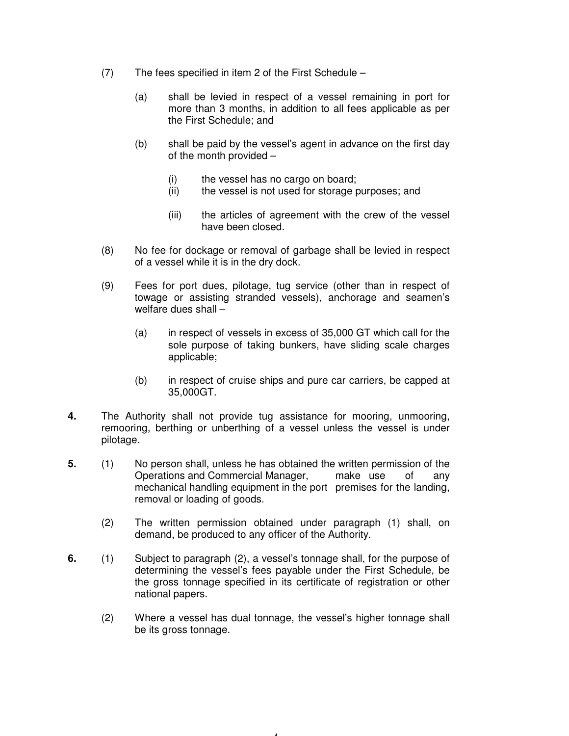- (7) The fees specified in item 2 of the First Schedule
	- (a) shall be levied in respect of a vessel remaining in port for more than 3 months, in addition to all fees applicable as per the First Schedule; and
	- (b) shall be paid by the vessel's agent in advance on the first day of the month provided –
		- (i) the vessel has no cargo on board;
		- (ii) the vessel is not used for storage purposes; and
		- (iii) the articles of agreement with the crew of the vessel have been closed.
- (8) No fee for dockage or removal of garbage shall be levied in respect of a vessel while it is in the dry dock.
- (9) Fees for port dues, pilotage, tug service (other than in respect of towage or assisting stranded vessels), anchorage and seamen's welfare dues shall –
	- (a) in respect of vessels in excess of 35,000 GT which call for the sole purpose of taking bunkers, have sliding scale charges applicable;
	- (b) in respect of cruise ships and pure car carriers, be capped at 35,000GT.
- **4.** The Authority shall not provide tug assistance for mooring, unmooring, remooring, berthing or unberthing of a vessel unless the vessel is under pilotage.
- **5.** (1) No person shall, unless he has obtained the written permission of the Operations and Commercial Manager, make use of any mechanical handling equipment in the port premises for the landing, removal or loading of goods.
	- (2) The written permission obtained under paragraph (1) shall, on demand, be produced to any officer of the Authority.
- **6.** (1) Subject to paragraph (2), a vessel's tonnage shall, for the purpose of determining the vessel's fees payable under the First Schedule, be the gross tonnage specified in its certificate of registration or other national papers.
	- (2) Where a vessel has dual tonnage, the vessel's higher tonnage shall be its gross tonnage.

 $\overline{A}$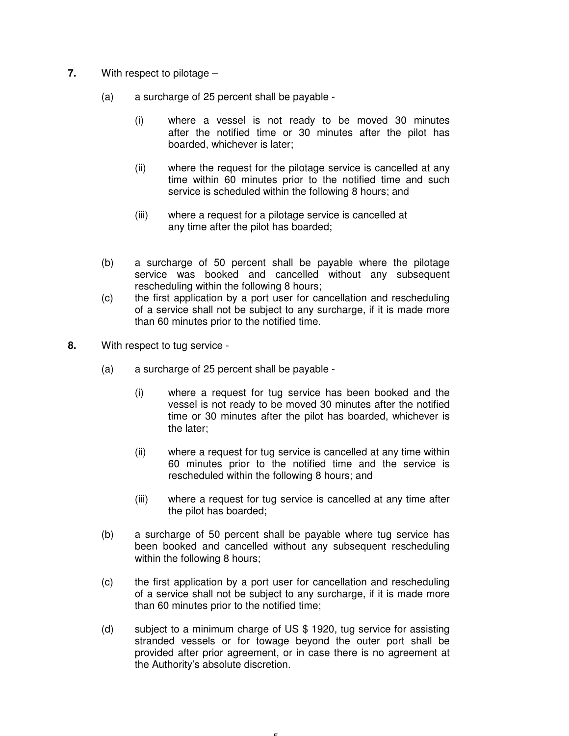- **7.** With respect to pilotage
	- (a) a surcharge of 25 percent shall be payable
		- (i) where a vessel is not ready to be moved 30 minutes after the notified time or 30 minutes after the pilot has boarded, whichever is later;
		- (ii) where the request for the pilotage service is cancelled at any time within 60 minutes prior to the notified time and such service is scheduled within the following 8 hours; and
		- (iii) where a request for a pilotage service is cancelled at any time after the pilot has boarded;
	- (b) a surcharge of 50 percent shall be payable where the pilotage service was booked and cancelled without any subsequent rescheduling within the following 8 hours;
	- (c) the first application by a port user for cancellation and rescheduling of a service shall not be subject to any surcharge, if it is made more than 60 minutes prior to the notified time.
- **8.** With respect to tug service
	- (a) a surcharge of 25 percent shall be payable
		- (i) where a request for tug service has been booked and the vessel is not ready to be moved 30 minutes after the notified time or 30 minutes after the pilot has boarded, whichever is the later;
		- (ii) where a request for tug service is cancelled at any time within 60 minutes prior to the notified time and the service is rescheduled within the following 8 hours; and
		- (iii) where a request for tug service is cancelled at any time after the pilot has boarded;
	- (b) a surcharge of 50 percent shall be payable where tug service has been booked and cancelled without any subsequent rescheduling within the following 8 hours;
	- (c) the first application by a port user for cancellation and rescheduling of a service shall not be subject to any surcharge, if it is made more than 60 minutes prior to the notified time;
	- (d) subject to a minimum charge of US \$ 1920, tug service for assisting stranded vessels or for towage beyond the outer port shall be provided after prior agreement, or in case there is no agreement at the Authority's absolute discretion.

- 5 -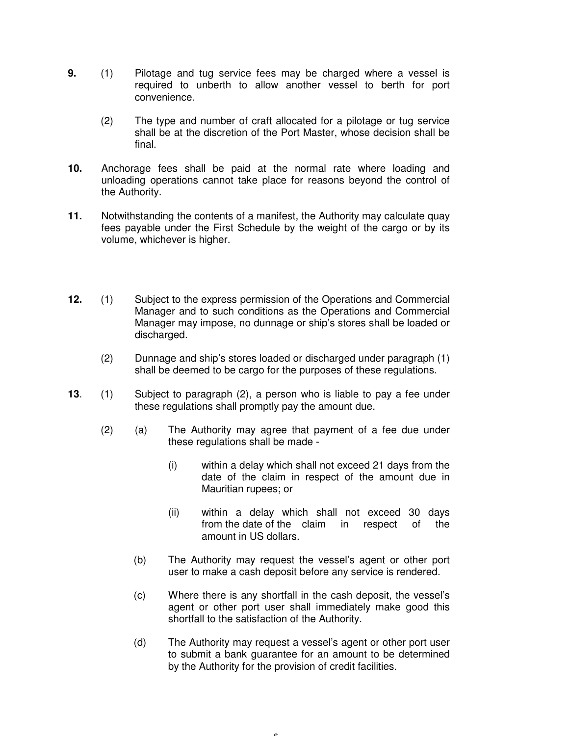- **9.** (1) Pilotage and tug service fees may be charged where a vessel is required to unberth to allow another vessel to berth for port convenience.
	- (2) The type and number of craft allocated for a pilotage or tug service shall be at the discretion of the Port Master, whose decision shall be final.
- **10.** Anchorage fees shall be paid at the normal rate where loading and unloading operations cannot take place for reasons beyond the control of the Authority.
- **11.** Notwithstanding the contents of a manifest, the Authority may calculate quay fees payable under the First Schedule by the weight of the cargo or by its volume, whichever is higher.
- **12.** (1) Subject to the express permission of the Operations and Commercial Manager and to such conditions as the Operations and Commercial Manager may impose, no dunnage or ship's stores shall be loaded or discharged.
	- (2) Dunnage and ship's stores loaded or discharged under paragraph (1) shall be deemed to be cargo for the purposes of these regulations.
- **13**. (1) Subject to paragraph (2), a person who is liable to pay a fee under these regulations shall promptly pay the amount due.
	- (2) (a) The Authority may agree that payment of a fee due under these regulations shall be made -
		- (i) within a delay which shall not exceed 21 days from the date of the claim in respect of the amount due in Mauritian rupees; or
		- (ii) within a delay which shall not exceed 30 days from the date of the claim in respect of the amount in US dollars.
		- (b) The Authority may request the vessel's agent or other port user to make a cash deposit before any service is rendered.
		- (c) Where there is any shortfall in the cash deposit, the vessel's agent or other port user shall immediately make good this shortfall to the satisfaction of the Authority.
		- (d) The Authority may request a vessel's agent or other port user to submit a bank guarantee for an amount to be determined by the Authority for the provision of credit facilities.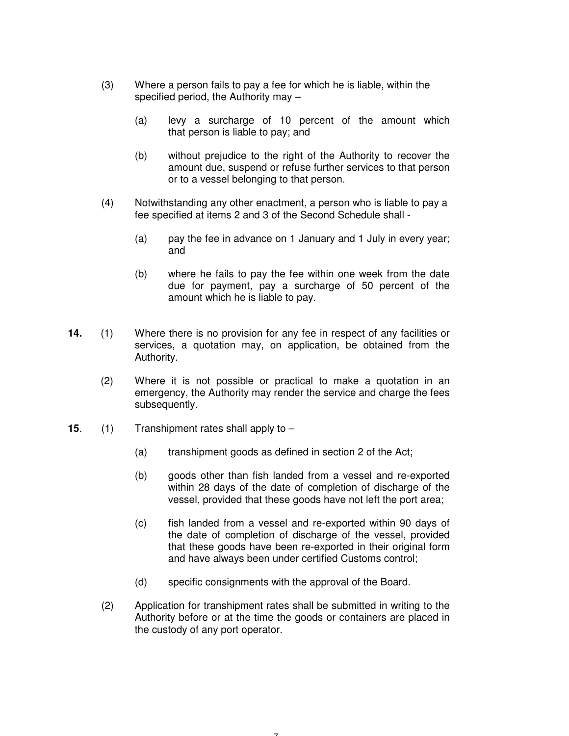- (3) Where a person fails to pay a fee for which he is liable, within the specified period, the Authority may –
	- (a) levy a surcharge of 10 percent of the amount which that person is liable to pay; and
	- (b) without prejudice to the right of the Authority to recover the amount due, suspend or refuse further services to that person or to a vessel belonging to that person.
- (4) Notwithstanding any other enactment, a person who is liable to pay a fee specified at items 2 and 3 of the Second Schedule shall -
	- (a) pay the fee in advance on 1 January and 1 July in every year; and
	- (b) where he fails to pay the fee within one week from the date due for payment, pay a surcharge of 50 percent of the amount which he is liable to pay.
- **14.** (1) Where there is no provision for any fee in respect of any facilities or services, a quotation may, on application, be obtained from the Authority.
	- (2) Where it is not possible or practical to make a quotation in an emergency, the Authority may render the service and charge the fees subsequently.
- **15**. (1) Transhipment rates shall apply to
	- (a) transhipment goods as defined in section 2 of the Act;
	- (b) goods other than fish landed from a vessel and re-exported within 28 days of the date of completion of discharge of the vessel, provided that these goods have not left the port area;
	- (c) fish landed from a vessel and re-exported within 90 days of the date of completion of discharge of the vessel, provided that these goods have been re-exported in their original form and have always been under certified Customs control;
	- (d) specific consignments with the approval of the Board.
	- (2) Application for transhipment rates shall be submitted in writing to the Authority before or at the time the goods or containers are placed in the custody of any port operator.

- 7 -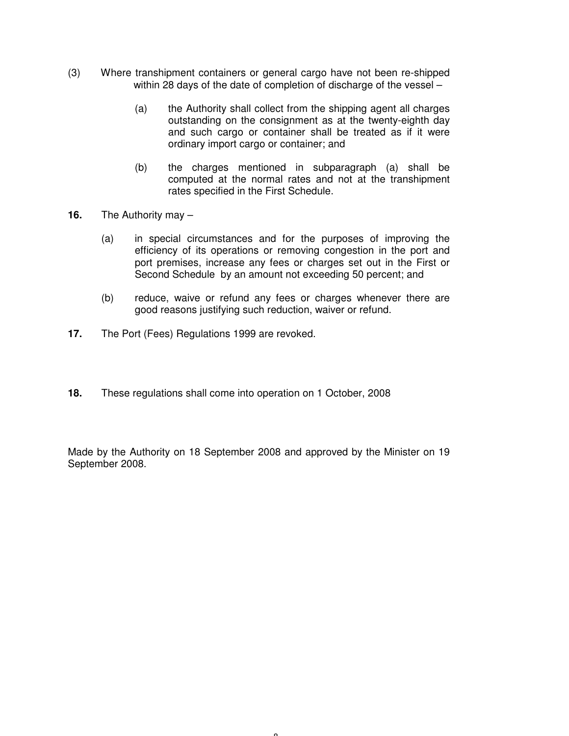- (3) Where transhipment containers or general cargo have not been re-shipped within 28 days of the date of completion of discharge of the vessel –
	- (a) the Authority shall collect from the shipping agent all charges outstanding on the consignment as at the twenty-eighth day and such cargo or container shall be treated as if it were ordinary import cargo or container; and
	- (b) the charges mentioned in subparagraph (a) shall be computed at the normal rates and not at the transhipment rates specified in the First Schedule.
- **16.** The Authority may
	- (a) in special circumstances and for the purposes of improving the efficiency of its operations or removing congestion in the port and port premises, increase any fees or charges set out in the First or Second Schedule by an amount not exceeding 50 percent; and
	- (b) reduce, waive or refund any fees or charges whenever there are good reasons justifying such reduction, waiver or refund.
- **17.** The Port (Fees) Regulations 1999 are revoked.
- **18.** These regulations shall come into operation on 1 October, 2008

Made by the Authority on 18 September 2008 and approved by the Minister on 19 September 2008.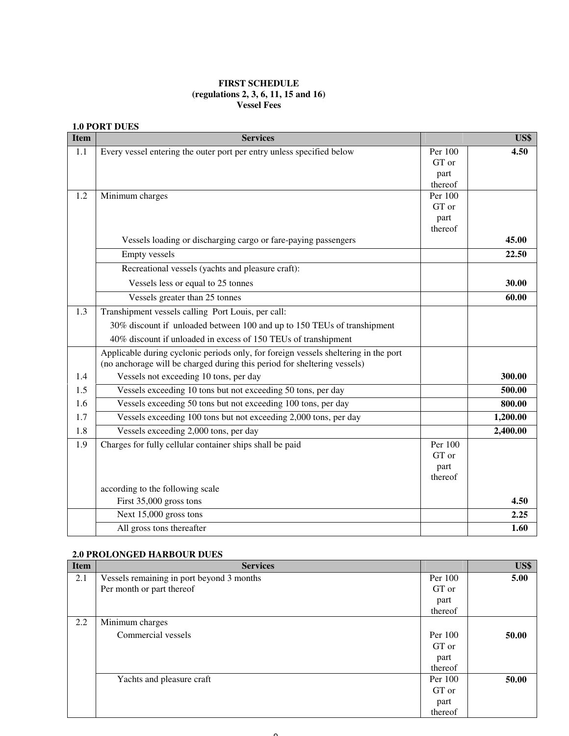#### **FIRST SCHEDULE (regulations 2, 3, 6, 11, 15 and 16) Vessel Fees**

#### **1.0 PORT DUES**

| <b>Item</b> | <b>Services</b>                                                                     |                    | US\$     |
|-------------|-------------------------------------------------------------------------------------|--------------------|----------|
| 1.1         | Every vessel entering the outer port per entry unless specified below               | Per 100            | 4.50     |
|             |                                                                                     | GT or              |          |
|             |                                                                                     | part               |          |
| 1.2         | Minimum charges                                                                     | thereof<br>Per 100 |          |
|             |                                                                                     | GT or              |          |
|             |                                                                                     | part               |          |
|             |                                                                                     | thereof            |          |
|             | Vessels loading or discharging cargo or fare-paying passengers                      |                    | 45.00    |
|             | <b>Empty vessels</b>                                                                |                    | 22.50    |
|             | Recreational vessels (yachts and pleasure craft):                                   |                    |          |
|             | Vessels less or equal to 25 tonnes                                                  |                    | 30.00    |
|             | Vessels greater than 25 tonnes                                                      |                    | 60.00    |
| 1.3         | Transhipment vessels calling Port Louis, per call:                                  |                    |          |
|             | 30% discount if unloaded between 100 and up to 150 TEUs of transhipment             |                    |          |
|             | 40% discount if unloaded in excess of 150 TEUs of transhipment                      |                    |          |
|             | Applicable during cyclonic periods only, for foreign vessels sheltering in the port |                    |          |
|             | (no anchorage will be charged during this period for sheltering vessels)            |                    |          |
| 1.4         | Vessels not exceeding 10 tons, per day                                              |                    | 300.00   |
| 1.5         | Vessels exceeding 10 tons but not exceeding 50 tons, per day                        |                    | 500.00   |
| 1.6         | Vessels exceeding 50 tons but not exceeding 100 tons, per day                       |                    | 800.00   |
| 1.7         | Vessels exceeding 100 tons but not exceeding 2,000 tons, per day                    |                    | 1,200.00 |
| 1.8         | Vessels exceeding 2,000 tons, per day                                               |                    | 2,400.00 |
| 1.9         | Charges for fully cellular container ships shall be paid                            | Per 100            |          |
|             |                                                                                     | GT or              |          |
|             |                                                                                     | part               |          |
|             |                                                                                     | thereof            |          |
|             | according to the following scale<br>First 35,000 gross tons                         |                    | 4.50     |
|             | Next 15,000 gross tons                                                              |                    | 2.25     |
|             | All gross tons thereafter                                                           |                    | 1.60     |
|             |                                                                                     |                    |          |

#### **2.0 PROLONGED HARBOUR DUES**

| <b>Item</b> | <b>Services</b>                           |         | US\$  |
|-------------|-------------------------------------------|---------|-------|
| 2.1         | Vessels remaining in port beyond 3 months | Per 100 | 5.00  |
|             | Per month or part thereof                 | GT or   |       |
|             |                                           | part    |       |
|             |                                           | thereof |       |
| 2.2         | Minimum charges                           |         |       |
|             | Commercial vessels                        | Per 100 | 50.00 |
|             |                                           | GT or   |       |
|             |                                           | part    |       |
|             |                                           | thereof |       |
|             | Yachts and pleasure craft                 | Per 100 | 50.00 |
|             |                                           | GT or   |       |
|             |                                           | part    |       |
|             |                                           | thereof |       |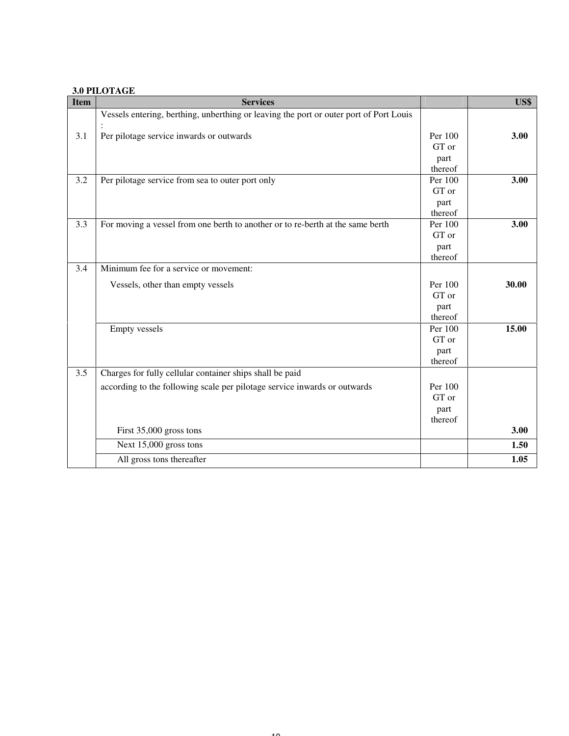#### **3.0 PILOTAGE**

| <b>Item</b> | <b>Services</b>                                                                        |                 | US\$  |
|-------------|----------------------------------------------------------------------------------------|-----------------|-------|
|             | Vessels entering, berthing, unberthing or leaving the port or outer port of Port Louis |                 |       |
| 3.1         | Per pilotage service inwards or outwards                                               | Per 100         | 3.00  |
|             |                                                                                        | GT or           |       |
|             |                                                                                        | part<br>thereof |       |
| 3.2         | Per pilotage service from sea to outer port only                                       | Per 100         | 3.00  |
|             |                                                                                        | GT or           |       |
|             |                                                                                        | part            |       |
|             |                                                                                        | thereof         |       |
| 3.3         | For moving a vessel from one berth to another or to re-berth at the same berth         | Per 100         | 3.00  |
|             |                                                                                        | GT or           |       |
|             |                                                                                        | part<br>thereof |       |
| 3.4         | Minimum fee for a service or movement:                                                 |                 |       |
|             |                                                                                        |                 |       |
|             | Vessels, other than empty vessels                                                      | Per 100         | 30.00 |
|             |                                                                                        | GT or           |       |
|             |                                                                                        | part<br>thereof |       |
|             | <b>Empty vessels</b>                                                                   | Per 100         | 15.00 |
|             |                                                                                        | GT or           |       |
|             |                                                                                        | part            |       |
|             |                                                                                        | thereof         |       |
| 3.5         | Charges for fully cellular container ships shall be paid                               |                 |       |
|             | according to the following scale per pilotage service inwards or outwards              | Per 100         |       |
|             |                                                                                        | GT or           |       |
|             |                                                                                        | part            |       |
|             |                                                                                        | thereof         |       |
|             | First 35,000 gross tons                                                                |                 | 3.00  |
|             | Next 15,000 gross tons                                                                 |                 | 1.50  |
|             | All gross tons thereafter                                                              |                 | 1.05  |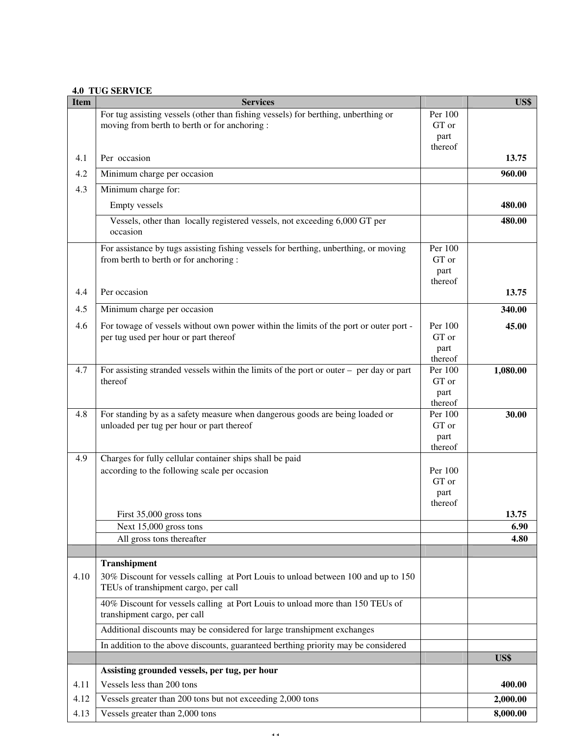#### **4.0 TUG SERVICE**

| <b>Item</b> | <b>Services</b>                                                                                                                |                  | US\$     |
|-------------|--------------------------------------------------------------------------------------------------------------------------------|------------------|----------|
|             | For tug assisting vessels (other than fishing vessels) for berthing, unberthing or                                             | Per 100          |          |
|             | moving from berth to berth or for anchoring:                                                                                   | GT or            |          |
|             |                                                                                                                                | part             |          |
| 4.1         | Per occasion                                                                                                                   | thereof          | 13.75    |
| 4.2         | Minimum charge per occasion                                                                                                    |                  | 960.00   |
|             |                                                                                                                                |                  |          |
| 4.3         | Minimum charge for:                                                                                                            |                  |          |
|             | <b>Empty vessels</b>                                                                                                           |                  | 480.00   |
|             | Vessels, other than locally registered vessels, not exceeding 6,000 GT per<br>occasion                                         |                  | 480.00   |
|             | For assistance by tugs assisting fishing vessels for berthing, unberthing, or moving                                           | Per 100          |          |
|             | from berth to berth or for anchoring :                                                                                         | GT or            |          |
|             |                                                                                                                                | part<br>thereof  |          |
| 4.4         | Per occasion                                                                                                                   |                  | 13.75    |
| 4.5         | Minimum charge per occasion                                                                                                    |                  | 340.00   |
|             |                                                                                                                                |                  |          |
| 4.6         | For towage of vessels without own power within the limits of the port or outer port -<br>per tug used per hour or part thereof | Per 100<br>GT or | 45.00    |
|             |                                                                                                                                | part             |          |
|             |                                                                                                                                | thereof          |          |
| 4.7         | For assisting stranded vessels within the limits of the port or outer $-$ per day or part                                      | Per 100          | 1,080.00 |
|             | thereof                                                                                                                        | GT or            |          |
|             |                                                                                                                                | part             |          |
|             |                                                                                                                                | thereof          |          |
| 4.8         | For standing by as a safety measure when dangerous goods are being loaded or                                                   | Per 100          | 30.00    |
|             | unloaded per tug per hour or part thereof                                                                                      | GT or            |          |
|             |                                                                                                                                | part<br>thereof  |          |
| 4.9         | Charges for fully cellular container ships shall be paid                                                                       |                  |          |
|             | according to the following scale per occasion                                                                                  | Per 100          |          |
|             |                                                                                                                                | GT or            |          |
|             |                                                                                                                                | part             |          |
|             |                                                                                                                                | thereof          |          |
|             | First 35,000 gross tons                                                                                                        |                  | 13.75    |
|             | Next 15,000 gross tons                                                                                                         |                  | 6.90     |
|             | All gross tons thereafter                                                                                                      |                  | 4.80     |
|             | <b>Transhipment</b>                                                                                                            |                  |          |
| 4.10        | 30% Discount for vessels calling at Port Louis to unload between 100 and up to 150                                             |                  |          |
|             | TEUs of transhipment cargo, per call                                                                                           |                  |          |
|             | 40% Discount for vessels calling at Port Louis to unload more than 150 TEUs of<br>transhipment cargo, per call                 |                  |          |
|             | Additional discounts may be considered for large transhipment exchanges                                                        |                  |          |
|             | In addition to the above discounts, guaranteed berthing priority may be considered                                             |                  |          |
|             |                                                                                                                                |                  | US\$     |
|             | Assisting grounded vessels, per tug, per hour                                                                                  |                  |          |
| 4.11        | Vessels less than 200 tons                                                                                                     |                  | 400.00   |
| 4.12        | Vessels greater than 200 tons but not exceeding 2,000 tons                                                                     |                  | 2,000.00 |
| 4.13        | Vessels greater than 2,000 tons                                                                                                |                  | 8,000.00 |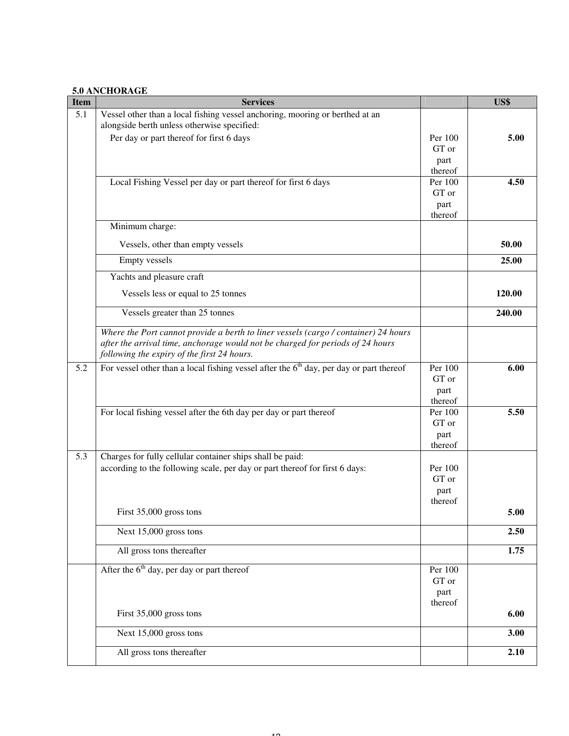#### **5.0 ANCHORAGE**

| <b>Item</b> | <b>Services</b>                                                                                                                                                                                                      |                    | US\$   |
|-------------|----------------------------------------------------------------------------------------------------------------------------------------------------------------------------------------------------------------------|--------------------|--------|
| 5.1         | Vessel other than a local fishing vessel anchoring, mooring or berthed at an                                                                                                                                         |                    |        |
|             | alongside berth unless otherwise specified:                                                                                                                                                                          |                    |        |
|             | Per day or part thereof for first 6 days                                                                                                                                                                             | Per 100<br>GT or   | 5.00   |
|             |                                                                                                                                                                                                                      | part               |        |
|             |                                                                                                                                                                                                                      | thereof            |        |
|             | Local Fishing Vessel per day or part thereof for first 6 days                                                                                                                                                        | Per 100            | 4.50   |
|             |                                                                                                                                                                                                                      | GT or              |        |
|             |                                                                                                                                                                                                                      | part<br>thereof    |        |
|             | Minimum charge:                                                                                                                                                                                                      |                    |        |
|             | Vessels, other than empty vessels                                                                                                                                                                                    |                    | 50.00  |
|             | <b>Empty</b> vessels                                                                                                                                                                                                 |                    | 25.00  |
|             | Yachts and pleasure craft                                                                                                                                                                                            |                    |        |
|             | Vessels less or equal to 25 tonnes                                                                                                                                                                                   |                    | 120.00 |
|             | Vessels greater than 25 tonnes                                                                                                                                                                                       |                    | 240.00 |
|             | Where the Port cannot provide a berth to liner vessels (cargo / container) 24 hours<br>after the arrival time, anchorage would not be charged for periods of 24 hours<br>following the expiry of the first 24 hours. |                    |        |
| 5.2         | For vessel other than a local fishing vessel after the $6th$ day, per day or part thereof                                                                                                                            | Per 100            | 6.00   |
|             |                                                                                                                                                                                                                      | GT or              |        |
|             |                                                                                                                                                                                                                      | part               |        |
|             | For local fishing vessel after the 6th day per day or part thereof                                                                                                                                                   | thereof<br>Per 100 | 5.50   |
|             |                                                                                                                                                                                                                      | GT or              |        |
|             |                                                                                                                                                                                                                      | part               |        |
|             |                                                                                                                                                                                                                      | thereof            |        |
| 5.3         | Charges for fully cellular container ships shall be paid:                                                                                                                                                            |                    |        |
|             | according to the following scale, per day or part thereof for first 6 days:                                                                                                                                          | Per 100<br>GT or   |        |
|             |                                                                                                                                                                                                                      | part               |        |
|             |                                                                                                                                                                                                                      | thereof            |        |
|             | First 35,000 gross tons                                                                                                                                                                                              |                    | 5.00   |
|             | Next 15,000 gross tons                                                                                                                                                                                               |                    | 2.50   |
|             | All gross tons thereafter                                                                                                                                                                                            |                    | 1.75   |
|             | After the $6th$ day, per day or part thereof                                                                                                                                                                         | Per 100            |        |
|             |                                                                                                                                                                                                                      | GT or              |        |
|             |                                                                                                                                                                                                                      | part<br>thereof    |        |
|             | First 35,000 gross tons                                                                                                                                                                                              |                    | 6.00   |
|             | Next 15,000 gross tons                                                                                                                                                                                               |                    | 3.00   |
|             | All gross tons thereafter                                                                                                                                                                                            |                    | 2.10   |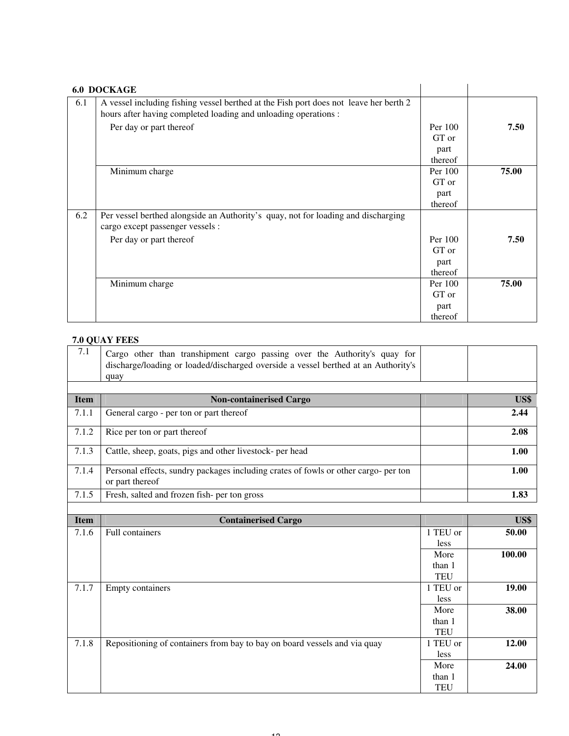|     | <b>6.0 DOCKAGE</b>                                                                                                                                       |                                     |       |
|-----|----------------------------------------------------------------------------------------------------------------------------------------------------------|-------------------------------------|-------|
| 6.1 | A vessel including fishing vessel berthed at the Fish port does not leave her berth 2<br>hours after having completed loading and unloading operations : |                                     |       |
|     | Per day or part thereof                                                                                                                                  | Per 100<br>GT or<br>part            | 7.50  |
|     |                                                                                                                                                          | thereof                             |       |
|     | Minimum charge                                                                                                                                           | Per 100<br>GT or                    | 75.00 |
|     |                                                                                                                                                          | part<br>thereof                     |       |
| 6.2 | Per vessel berthed alongside an Authority's quay, not for loading and discharging<br>cargo except passenger vessels :                                    |                                     |       |
|     | Per day or part thereof                                                                                                                                  | Per 100<br>GT or<br>part<br>thereof | 7.50  |
|     | Minimum charge                                                                                                                                           | Per 100<br>GT or                    | 75.00 |
|     |                                                                                                                                                          | part<br>thereof                     |       |

# **7.0 QUAY FEES**

| 7.1         | Cargo other than transhipment cargo passing over the Authority's quay for<br>discharge/loading or loaded/discharged overside a vessel berthed at an Authority's<br>quay |            |        |
|-------------|-------------------------------------------------------------------------------------------------------------------------------------------------------------------------|------------|--------|
|             |                                                                                                                                                                         |            |        |
| <b>Item</b> | <b>Non-containerised Cargo</b>                                                                                                                                          |            | US\$   |
| 7.1.1       | General cargo - per ton or part thereof                                                                                                                                 |            | 2.44   |
| 7.1.2       | Rice per ton or part thereof                                                                                                                                            |            | 2.08   |
| 7.1.3       | Cattle, sheep, goats, pigs and other livestock- per head                                                                                                                |            | 1.00   |
| 7.1.4       | Personal effects, sundry packages including crates of fowls or other cargo- per ton<br>or part thereof                                                                  |            | 1.00   |
| 7.1.5       | Fresh, salted and frozen fish-per ton gross                                                                                                                             |            | 1.83   |
|             |                                                                                                                                                                         |            |        |
| <b>Item</b> | <b>Containerised Cargo</b>                                                                                                                                              |            | US\$   |
| 7.1.6       | <b>Full containers</b>                                                                                                                                                  | 1 TEU or   | 50.00  |
|             |                                                                                                                                                                         | less       |        |
|             |                                                                                                                                                                         | More       | 100.00 |
|             |                                                                                                                                                                         | than 1     |        |
|             |                                                                                                                                                                         | <b>TEU</b> |        |
| 7.1.7       | <b>Empty containers</b>                                                                                                                                                 | 1 TEU or   | 19.00  |
|             |                                                                                                                                                                         | less       |        |
|             |                                                                                                                                                                         | More       | 38.00  |
|             |                                                                                                                                                                         | than 1     |        |
|             |                                                                                                                                                                         | <b>TEU</b> |        |
|             |                                                                                                                                                                         |            |        |
| 7.1.8       | Repositioning of containers from bay to bay on board vessels and via quay                                                                                               | 1 TEU or   | 12.00  |
|             |                                                                                                                                                                         | less       |        |
|             |                                                                                                                                                                         | More       | 24.00  |

TEU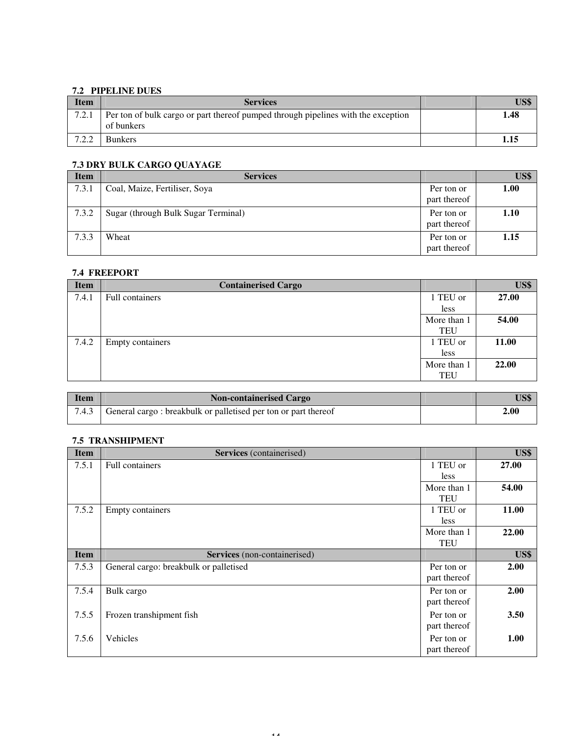## **7.2 PIPELINE DUES**

| <b>Item</b> | <b>Services</b>                                                                                 | US\$ |
|-------------|-------------------------------------------------------------------------------------------------|------|
| 7.2.1       | Per ton of bulk cargo or part thereof pumped through pipelines with the exception<br>of bunkers | 1.48 |
| 700         | <b>Bunkers</b>                                                                                  | 1.15 |

## **7.3 DRY BULK CARGO QUAYAGE**

| <b>Item</b> | <b>Services</b>                     |                            | US\$ |
|-------------|-------------------------------------|----------------------------|------|
| 7.3.1       | Coal, Maize, Fertiliser, Soya       | Per ton or<br>part thereof | 1.00 |
| 7.3.2       | Sugar (through Bulk Sugar Terminal) | Per ton or<br>part thereof | 1.10 |
| 7.3.3       | Wheat                               | Per ton or<br>part thereof | 1.15 |

## **7.4 FREEPORT**

| <b>Item</b> | <b>Containerised Cargo</b> |             | US\$  |
|-------------|----------------------------|-------------|-------|
| 7.4.1       | Full containers            | 1 TEU or    | 27.00 |
|             |                            | less        |       |
|             |                            | More than 1 | 54.00 |
|             |                            | <b>TEU</b>  |       |
| 7.4.2       | <b>Empty containers</b>    | 1 TEU or    | 11.00 |
|             |                            | less        |       |
|             |                            | More than 1 | 22.00 |
|             |                            | <b>TEU</b>  |       |
|             |                            |             |       |

| <b>Item</b> | <b>Non-containerised Cargo</b>                                 | US\$ |
|-------------|----------------------------------------------------------------|------|
| 7.4.3       | General cargo: breakbulk or palletised per ton or part thereof | 2.00 |

## **7.5 TRANSHIPMENT**

| <b>Item</b> | Services (containerised)               |                            | US\$  |
|-------------|----------------------------------------|----------------------------|-------|
| 7.5.1       | <b>Full containers</b>                 | 1 TEU or<br>less           | 27.00 |
|             |                                        | More than 1<br><b>TEU</b>  | 54.00 |
| 7.5.2       | <b>Empty containers</b>                | 1 TEU or<br>less           | 11.00 |
|             |                                        | More than 1<br><b>TEU</b>  | 22.00 |
| <b>Item</b> | Services (non-containerised)           |                            | US\$  |
| 7.5.3       | General cargo: breakbulk or palletised | Per ton or<br>part thereof | 2.00  |
| 7.5.4       | Bulk cargo                             | Per ton or<br>part thereof | 2.00  |
| 7.5.5       | Frozen transhipment fish               | Per ton or<br>part thereof | 3.50  |
| 7.5.6       | Vehicles                               | Per ton or<br>part thereof | 1.00  |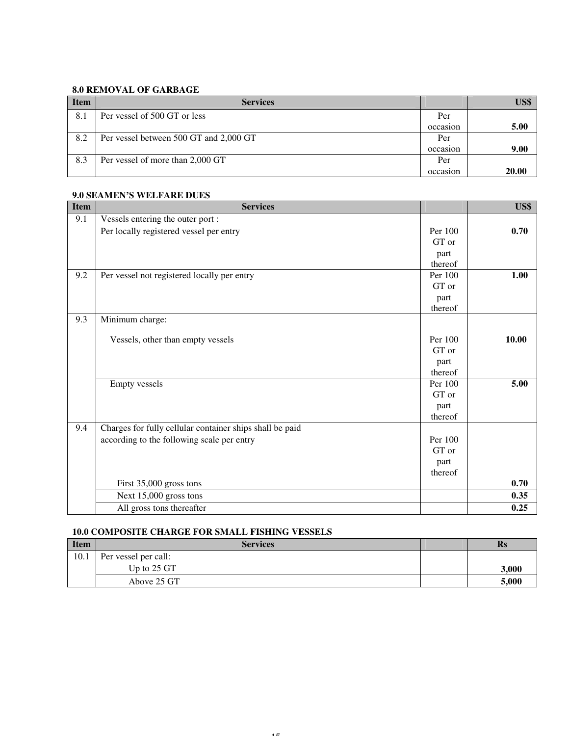## **8.0 REMOVAL OF GARBAGE**

| <b>Item</b> | <b>Services</b>                        |          | US\$  |
|-------------|----------------------------------------|----------|-------|
| 8.1         | Per vessel of 500 GT or less           | Per      |       |
|             |                                        | occasion | 5.00  |
| 8.2         | Per vessel between 500 GT and 2,000 GT | Per      |       |
|             |                                        | occasion | 9.00  |
| 8.3         | Per vessel of more than 2,000 GT       | Per      |       |
|             |                                        | occasion | 20.00 |

#### **9.0 SEAMEN'S WELFARE DUES**

| <b>Item</b> | <b>Services</b>                                          |         | US\$  |
|-------------|----------------------------------------------------------|---------|-------|
| 9.1         | Vessels entering the outer port :                        |         |       |
|             | Per locally registered vessel per entry                  | Per 100 | 0.70  |
|             |                                                          | GT or   |       |
|             |                                                          | part    |       |
|             |                                                          | thereof |       |
| 9.2         | Per vessel not registered locally per entry              | Per 100 | 1.00  |
|             |                                                          | GT or   |       |
|             |                                                          | part    |       |
|             |                                                          | thereof |       |
| 9.3         | Minimum charge:                                          |         |       |
|             | Vessels, other than empty vessels                        | Per 100 | 10.00 |
|             |                                                          | GT or   |       |
|             |                                                          | part    |       |
|             |                                                          | thereof |       |
|             | <b>Empty vessels</b>                                     | Per 100 | 5.00  |
|             |                                                          | GT or   |       |
|             |                                                          | part    |       |
|             |                                                          | thereof |       |
| 9.4         | Charges for fully cellular container ships shall be paid |         |       |
|             | according to the following scale per entry               | Per 100 |       |
|             |                                                          | GT or   |       |
|             |                                                          | part    |       |
|             |                                                          | thereof |       |
|             | First 35,000 gross tons                                  |         | 0.70  |
|             | Next 15,000 gross tons                                   |         | 0.35  |
|             | All gross tons thereafter                                |         | 0.25  |

## **10.0 COMPOSITE CHARGE FOR SMALL FISHING VESSELS**

| <b>Item</b> | <b>Services</b>      | $\mathbf{R}_{\mathbf{S}}$ |
|-------------|----------------------|---------------------------|
| 10.1        | Per vessel per call: |                           |
|             | Up to 25 GT          | 3,000                     |
|             | Above 25 GT          | 5,000                     |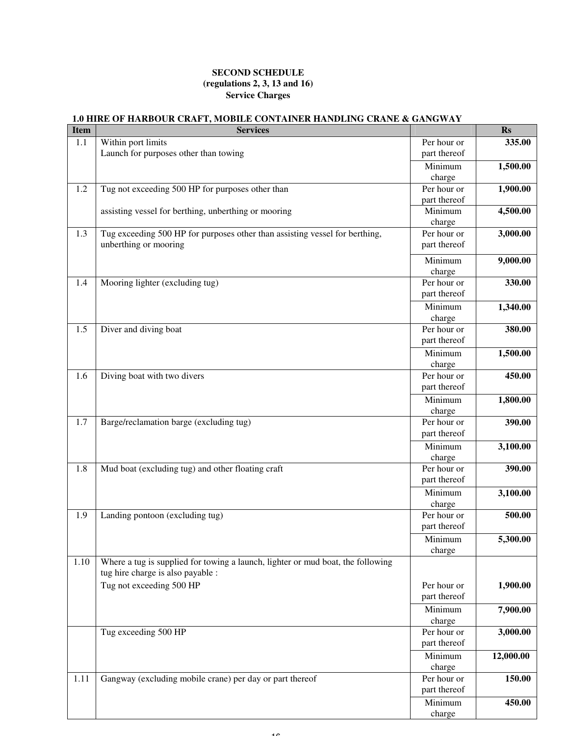#### **SECOND SCHEDULE (regulations 2, 3, 13 and 16) Service Charges**

#### **1.0 HIRE OF HARBOUR CRAFT, MOBILE CONTAINER HANDLING CRANE & GANGWAY Item Services Rs**  1.1 Within port limits Launch for purposes other than towing Per hour or part thereof  **335.00 Minimum** and the contract of the contract of the contract of the contract of the contract of the contract of the contract of the contract of the contract of the contract of the contract of the contract of the contract of charge  **1,500.00**  1.2 Tug not exceeding 500 HP for purposes other than Per hour or part thereof  **1,900.00**  assisting vessel for berthing, unberthing or mooring Minimum Minimum charge  **4,500.00**  1.3 Tug exceeding 500 HP for purposes other than assisting vessel for berthing, unberthing or mooring Per hour or part thereof  **3,000.00 Minimum** and the contract of the contract of the contract of the contract of the contract of the contract of the contract of the contract of the contract of the contract of the contract of the contract of the contract of charge  **9,000.00**  1.4 Mooring lighter (excluding tug) Per hour or part thereof  **330.00 Minimum** and the contract of the contract of the contract of the contract of the contract of the contract of the contract of the contract of the contract of the contract of the contract of the contract of the contract of charge  **1,340.00**  1.5 Diver and diving boat Per hour or part thereof  **380.00 Minimum** and the contract of the contract of the contract of the contract of the contract of the contract of the contract of the contract of the contract of the contract of the contract of the contract of the contract of charge  **1,500.00**  1.6 Diving boat with two divers **Per hour or** Per hour or part thereof  **450.00 Minimum** and the contract of the contract of the contract of the contract of the contract of the contract of the contract of the contract of the contract of the contract of the contract of the contract of the contract of charge  **1,800.00**  1.7 Barge/reclamation barge (excluding tug) Per hour or part thereof  **390.00 Minimum** and the contract of the contract of the contract of the contract of the contract of the contract of the contract of the contract of the contract of the contract of the contract of the contract of the contract of charge  **3,100.00**  1.8 Mud boat (excluding tug) and other floating craft Per hour or part thereof  **390.00 Minimum** and the contract of the contract of the contract of the contract of the contract of the contract of the contract of the contract of the contract of the contract of the contract of the contract of the contract of charge  **3,100.00**  1.9 Landing pontoon (excluding tug) Per hour or part thereof  **500.00**  Minimum charge  **5,300.00**  1.10 Where a tug is supplied for towing a launch, lighter or mud boat, the following tug hire charge is also payable : Tug not exceeding 500 HP Per hour or part thereof  **1,900.00**  Minimum charge  **7,900.00**  Tug exceeding 500 HP Per hour or part thereof  **3,000.00**  Minimum and Minimum and Minimum and Minimum and Minimum and Minimum and Minimum and Minimum and Minimum and Mi charge  **12,000.00**  Per hour or part thereof 1.11 Gangway (excluding mobile crane) per day or part thereof **150.00**  Minimum  **450.00**

charge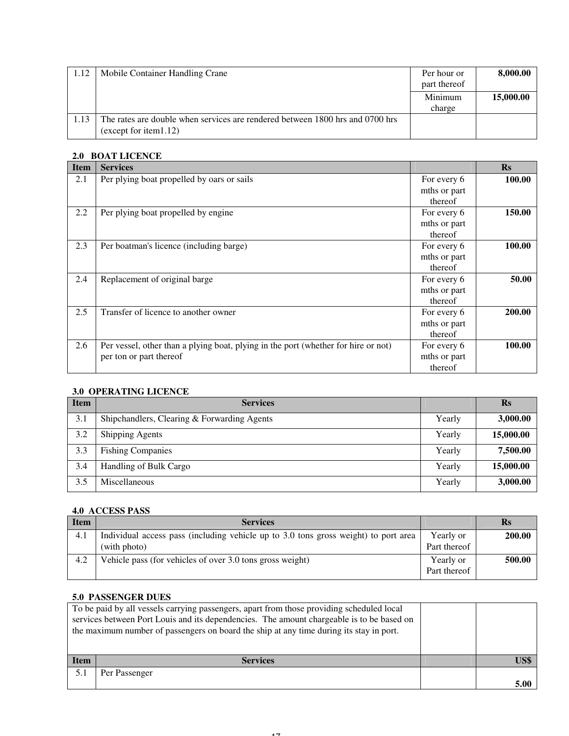| 1.12 | Mobile Container Handling Crane                                                                        | Per hour or<br>part thereof | 8,000.00  |
|------|--------------------------------------------------------------------------------------------------------|-----------------------------|-----------|
|      |                                                                                                        | Minimum<br>charge           | 15,000.00 |
| 1.13 | The rates are double when services are rendered between 1800 hrs and 0700 hrs<br>(except for item1.12) |                             |           |

# **2.0 BOAT LICENCE**

| <b>Item</b> | <b>Services</b>                                                                    |              | $\mathbf{Rs}$ |
|-------------|------------------------------------------------------------------------------------|--------------|---------------|
| 2.1         | Per plying boat propelled by oars or sails                                         | For every 6  | 100.00        |
|             |                                                                                    | mths or part |               |
|             |                                                                                    | thereof      |               |
| 2.2         | Per plying boat propelled by engine                                                | For every 6  | 150.00        |
|             |                                                                                    | mths or part |               |
|             |                                                                                    | thereof      |               |
| 2.3         | Per boatman's licence (including barge)                                            | For every 6  | 100.00        |
|             |                                                                                    | mths or part |               |
|             |                                                                                    | thereof      |               |
| 2.4         | Replacement of original barge                                                      | For every 6  | 50.00         |
|             |                                                                                    | mths or part |               |
|             |                                                                                    | thereof      |               |
| 2.5         | Transfer of licence to another owner                                               | For every 6  | 200.00        |
|             |                                                                                    | mths or part |               |
|             |                                                                                    | thereof      |               |
| 2.6         | Per vessel, other than a plying boat, plying in the port (whether for hire or not) | For every 6  | 100.00        |
|             | per ton or part thereof                                                            | mths or part |               |
|             |                                                                                    | thereof      |               |

## **3.0 OPERATING LICENCE**

| <b>Item</b> | <b>Services</b>                             |        | $\mathbf{R}_{\mathbf{S}}$ |
|-------------|---------------------------------------------|--------|---------------------------|
| 3.1         | Shipchandlers, Clearing & Forwarding Agents | Yearly | 3,000.00                  |
| 3.2         | <b>Shipping Agents</b>                      | Yearly | 15,000.00                 |
| 3.3         | <b>Fishing Companies</b>                    | Yearly | 7,500.00                  |
| 3.4         | Handling of Bulk Cargo                      | Yearly | 15,000.00                 |
| 3.5         | Miscellaneous                               | Yearly | 3,000.00                  |

## **4.0 ACCESS PASS**

| Item | <b>Services</b>                                                                     |              | Rs     |
|------|-------------------------------------------------------------------------------------|--------------|--------|
| 4.1  | Individual access pass (including vehicle up to 3.0 tons gross weight) to port area | Yearly or    | 200.00 |
|      | (with photo)                                                                        | Part thereof |        |
| 4.2  | Vehicle pass (for vehicles of over 3.0 tons gross weight)                           | Yearly or    | 500.00 |
|      |                                                                                     | Part thereof |        |

#### **5.0 PASSENGER DUES**

|             | To be paid by all vessels carrying passengers, apart from those providing scheduled local<br>services between Port Louis and its dependencies. The amount chargeable is to be based on<br>the maximum number of passengers on board the ship at any time during its stay in port. |  |      |
|-------------|-----------------------------------------------------------------------------------------------------------------------------------------------------------------------------------------------------------------------------------------------------------------------------------|--|------|
| <b>Item</b> | <b>Services</b>                                                                                                                                                                                                                                                                   |  | US\$ |
| 5.1         | Per Passenger                                                                                                                                                                                                                                                                     |  |      |
|             |                                                                                                                                                                                                                                                                                   |  | 5.00 |